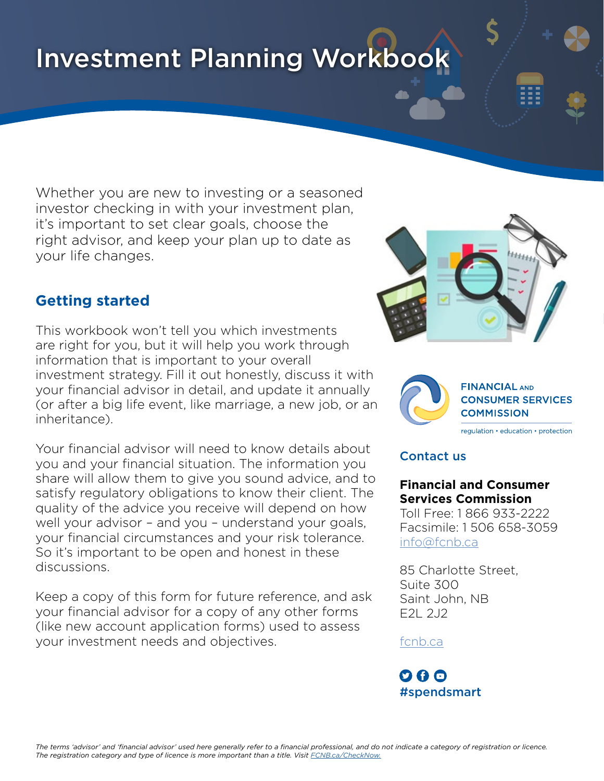# Investment Planning Workbook

Whether you are new to investing or a seasoned investor checking in with your investment plan, it's important to set clear goals, choose the right advisor, and keep your plan up to date as your life changes.

## **Getting started**

This workbook won't tell you which investments are right for you, but it will help you work through information that is important to your overall investment strategy. Fill it out honestly, discuss it with your financial advisor in detail, and update it annually (or after a big life event, like marriage, a new job, or an inheritance).

Your financial advisor will need to know details about you and your financial situation. The information you share will allow them to give you sound advice, and to satisfy regulatory obligations to know their client. The quality of the advice you receive will depend on how well your advisor – and you – understand your goals, your financial circumstances and your risk tolerance. So it's important to be open and honest in these discussions.

Keep a copy of this form for future reference, and ask your financial advisor for a copy of any other forms (like new account application forms) used to assess your investment needs and objectives.





**CONSUMER SERVICES COMMISSION** 

regulation • education • protection

#### Contact us

#### **Financial and Consumer Services Commission**

Toll Free: 1 866 933-2222 Facsimile: 1 506 658-3059 [info@fcnb.ca](mailto:info%40fcnb.ca?subject=)

85 Charlotte Street, Suite 300 Saint John, NB E2L 2J2

#### [fcnb.ca](http://fcnb.ca/FinancialConsumer.html)

### $O$   $\boldsymbol{\theta}$   $O$ #spendsmart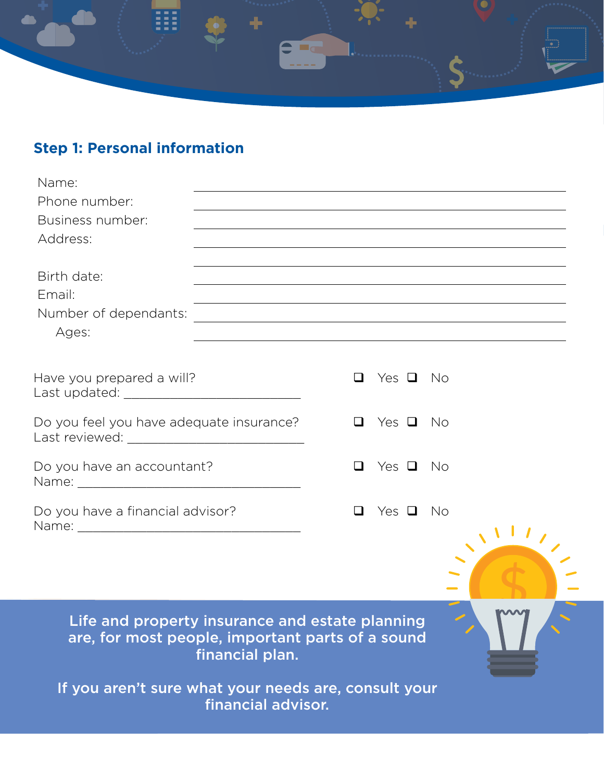

# **Step 1: Personal information**

| Name:                                                                                               |                                                                                                                           |        |               |      |  |
|-----------------------------------------------------------------------------------------------------|---------------------------------------------------------------------------------------------------------------------------|--------|---------------|------|--|
| Phone number:                                                                                       | ,我们也不能在这里的时候,我们也不能在这里的时候,我们也不能会在这里的时候,我们也不能会在这里的时候,我们也不能会在这里的时候,我们也不能会在这里的时候,我们也                                          |        |               |      |  |
| Business number:                                                                                    |                                                                                                                           |        |               |      |  |
| Address:                                                                                            |                                                                                                                           |        |               |      |  |
| Birth date:<br>Email:<br>Number of dependants:<br>Ages:                                             | <u> 1989 - Johann Stoff, amerikansk politiker (d. 1989)</u><br><u> 1989 - Johann Barn, amerikansk politiker (d. 1989)</u> |        |               |      |  |
| Have you prepared a will?                                                                           |                                                                                                                           | ப      | Yes $\Box$ No |      |  |
| Do you feel you have adequate insurance?                                                            |                                                                                                                           | ப      | Yes $\Box$ No |      |  |
| Do you have an accountant?                                                                          |                                                                                                                           | ப      | Yes $\Box$ No |      |  |
| Do you have a financial advisor?                                                                    |                                                                                                                           | $\Box$ | Yes $\Box$    | - No |  |
|                                                                                                     |                                                                                                                           |        |               |      |  |
| Life and property insurance and estate planning<br>are, for most people, important parts of a sound | financial plan.                                                                                                           |        |               |      |  |
| If you aren't sure what your needs are, consult your                                                | financial advisor.                                                                                                        |        |               |      |  |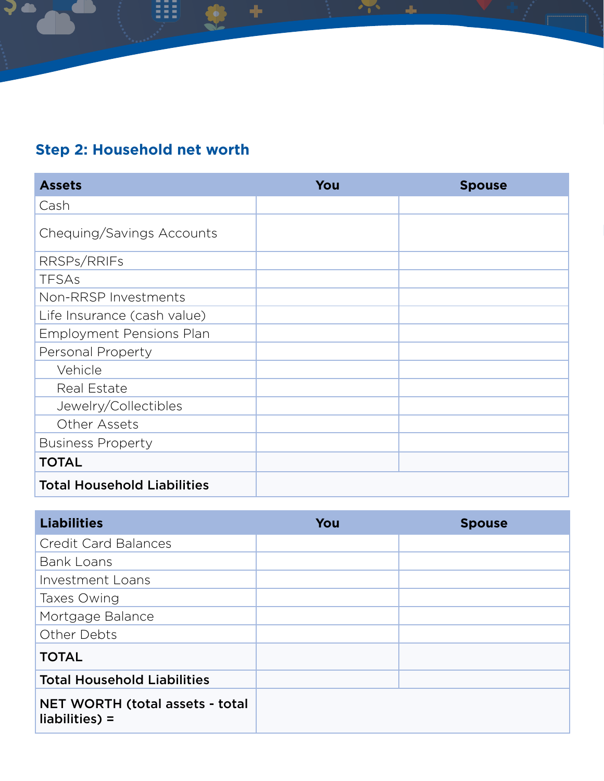## **Step 2: Household net worth**

| <b>Assets</b>                      | You | <b>Spouse</b> |
|------------------------------------|-----|---------------|
| Cash                               |     |               |
| Chequing/Savings Accounts          |     |               |
| RRSPs/RRIFs                        |     |               |
| <b>TFSAs</b>                       |     |               |
| Non-RRSP Investments               |     |               |
| Life Insurance (cash value)        |     |               |
| <b>Employment Pensions Plan</b>    |     |               |
| <b>Personal Property</b>           |     |               |
| Vehicle                            |     |               |
| Real Estate                        |     |               |
| Jewelry/Collectibles               |     |               |
| Other Assets                       |     |               |
| <b>Business Property</b>           |     |               |
| <b>TOTAL</b>                       |     |               |
| <b>Total Household Liabilities</b> |     |               |

| <b>Liabilities</b>                                        | You | <b>Spouse</b> |
|-----------------------------------------------------------|-----|---------------|
| <b>Credit Card Balances</b>                               |     |               |
| <b>Bank Loans</b>                                         |     |               |
| Investment Loans                                          |     |               |
| Taxes Owing                                               |     |               |
| Mortgage Balance                                          |     |               |
| Other Debts                                               |     |               |
| <b>TOTAL</b>                                              |     |               |
| <b>Total Household Liabilities</b>                        |     |               |
| <b>NET WORTH (total assets - total</b><br>$liabilities$ = |     |               |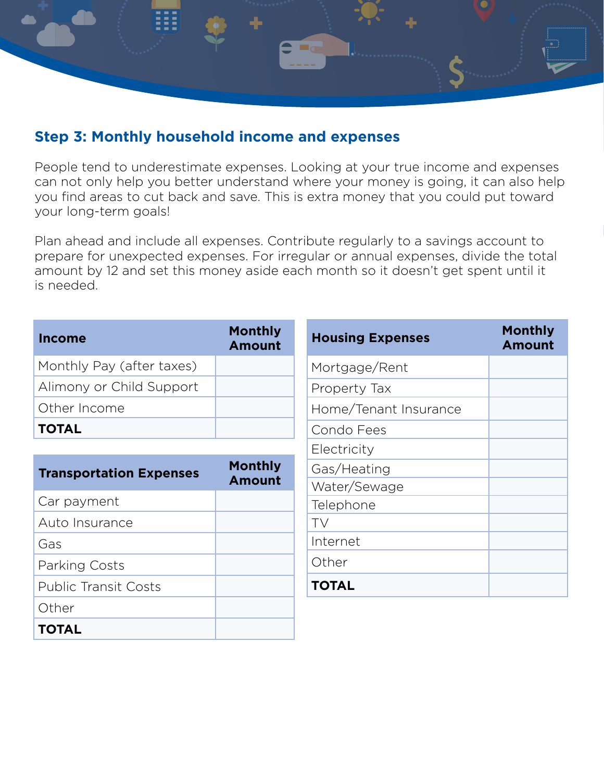

## **Step 3: Monthly household income and expenses**

People tend to underestimate expenses. Looking at your true income and expenses can not only help you better understand where your money is going, it can also help you find areas to cut back and save. This is extra money that you could put toward your long-term goals!

Plan ahead and include all expenses. Contribute regularly to a savings account to prepare for unexpected expenses. For irregular or annual expenses, divide the total amount by 12 and set this money aside each month so it doesn't get spent until it is needed.

| <b>Income</b>                  | <b>Monthly</b><br><b>Amount</b> | <b>Housing Expenses</b> | <b>Monthly</b><br><b>Amount</b> |
|--------------------------------|---------------------------------|-------------------------|---------------------------------|
| Monthly Pay (after taxes)      |                                 | Mortgage/Rent           |                                 |
| Alimony or Child Support       |                                 | Property Tax            |                                 |
| Other Income                   |                                 | Home/Tenant Insurance   |                                 |
| <b>TOTAL</b>                   |                                 | Condo Fees              |                                 |
|                                |                                 | Electricity             |                                 |
| <b>Transportation Expenses</b> | <b>Monthly</b>                  | Gas/Heating             |                                 |
|                                | <b>Amount</b>                   | Water/Sewage            |                                 |
| Car payment                    |                                 | Telephone               |                                 |
| Auto Insurance                 |                                 | TV                      |                                 |
| Gas                            |                                 | Internet                |                                 |
| Parking Costs                  |                                 | Other                   |                                 |
| <b>Public Transit Costs</b>    |                                 | <b>TOTAL</b>            |                                 |
| Other                          |                                 |                         |                                 |
| <b>TOTAL</b>                   |                                 |                         |                                 |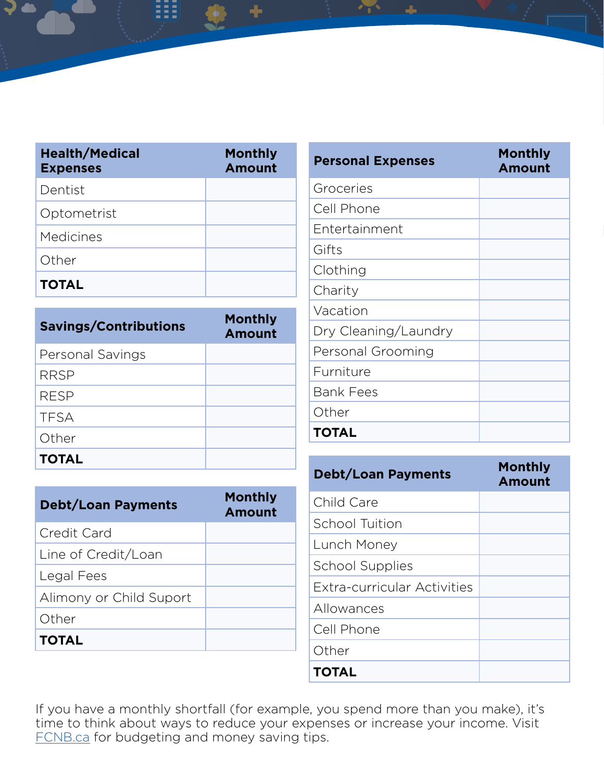| <b>Health/Medical</b><br><b>Expenses</b> | <b>Monthly</b><br><b>Amount</b> |
|------------------------------------------|---------------------------------|
| Dentist                                  |                                 |
| Optometrist                              |                                 |
| Medicines                                |                                 |
| Other                                    |                                 |
| <b>TOTAL</b>                             |                                 |

| <b>Savings/Contributions</b> | <b>Monthly</b><br><b>Amount</b> |
|------------------------------|---------------------------------|
| Personal Savings             |                                 |
| <b>RRSP</b>                  |                                 |
| <b>RESP</b>                  |                                 |
| <b>TFSA</b>                  |                                 |
| Other                        |                                 |
| <b>TOTAL</b>                 |                                 |

| <b>Debt/Loan Payments</b> | <b>Monthly</b><br><b>Amount</b> |
|---------------------------|---------------------------------|
| Credit Card               |                                 |
| Line of Credit/Loan       |                                 |
| Legal Fees                |                                 |
| Alimony or Child Suport   |                                 |
| Other                     |                                 |
| <b>TOTAL</b>              |                                 |

| <b>Personal Expenses</b> | <b>Monthly</b><br><b>Amount</b> |
|--------------------------|---------------------------------|
| Groceries                |                                 |
| Cell Phone               |                                 |
| Entertainment            |                                 |
| Gifts                    |                                 |
| Clothing                 |                                 |
| Charity                  |                                 |
| Vacation                 |                                 |
| Dry Cleaning/Laundry     |                                 |
| Personal Grooming        |                                 |
| Furniture                |                                 |
| <b>Bank Fees</b>         |                                 |
| Other                    |                                 |
| <b>TOTAL</b>             |                                 |

| <b>Debt/Loan Payments</b>   | <b>Monthly</b><br><b>Amount</b> |
|-----------------------------|---------------------------------|
| Child Care                  |                                 |
| School Tuition              |                                 |
| Lunch Money                 |                                 |
| <b>School Supplies</b>      |                                 |
| Extra-curricular Activities |                                 |
| Allowances                  |                                 |
| Cell Phone                  |                                 |
| Other                       |                                 |
| <b>TOTAL</b>                |                                 |

If you have a monthly shortfall (for example, you spend more than you make), it's time to think about ways to reduce your expenses or increase your income. Visit [FCNB.ca](http://fcnb.ca/savingandinvesting.html) for budgeting and money saving tips.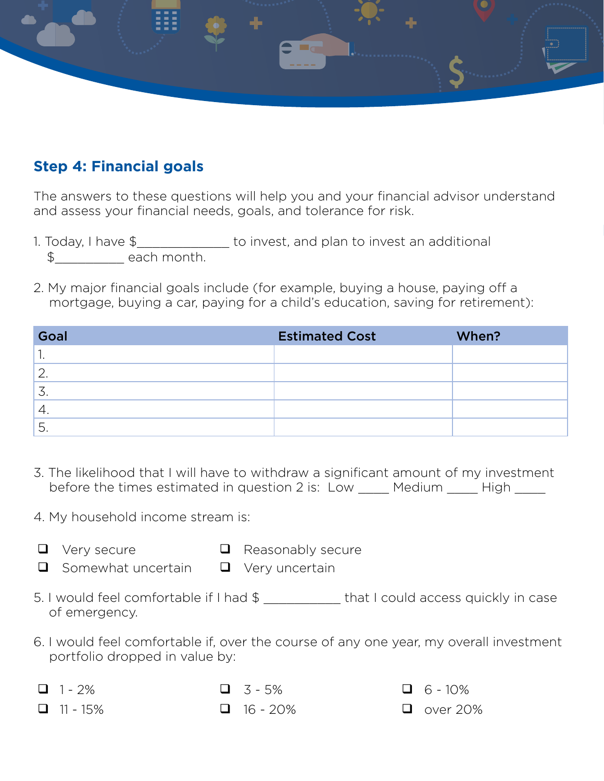

## **Step 4: Financial goals**

The answers to these questions will help you and your financial advisor understand and assess your financial needs, goals, and tolerance for risk.

- 1. Today, I have \$\_\_\_\_\_\_\_\_\_\_\_\_ to invest, and plan to invest an additional \$\_\_\_\_\_\_\_\_\_ each month.
- 2. My major financial goals include (for example, buying a house, paying off a mortgage, buying a car, paying for a child's education, saving for retirement):

| Goal          | <b>Estimated Cost</b> | When? |
|---------------|-----------------------|-------|
|               |                       |       |
| ◠<br><u>.</u> |                       |       |
| 3.            |                       |       |
| `4.           |                       |       |
| 5.            |                       |       |

- 3. The likelihood that I will have to withdraw a significant amount of my investment before the times estimated in question 2 is: Low Medium High
- 4. My household income stream is:
- $\Box$  Very secure  $\Box$  Reasonably secure
- $\Box$  Somewhat uncertain  $\Box$  Very uncertain
- 5. I would feel comfortable if I had \$ that I could access quickly in case of emergency.
- 6. I would feel comfortable if, over the course of any one year, my overall investment portfolio dropped in value by:
- $\Box$  1 2%  $\Box$  3 5%  $\Box$  6 10%
- 

- 
- $\Box$  11 15%  $\Box$  16 20%  $\Box$  over 20%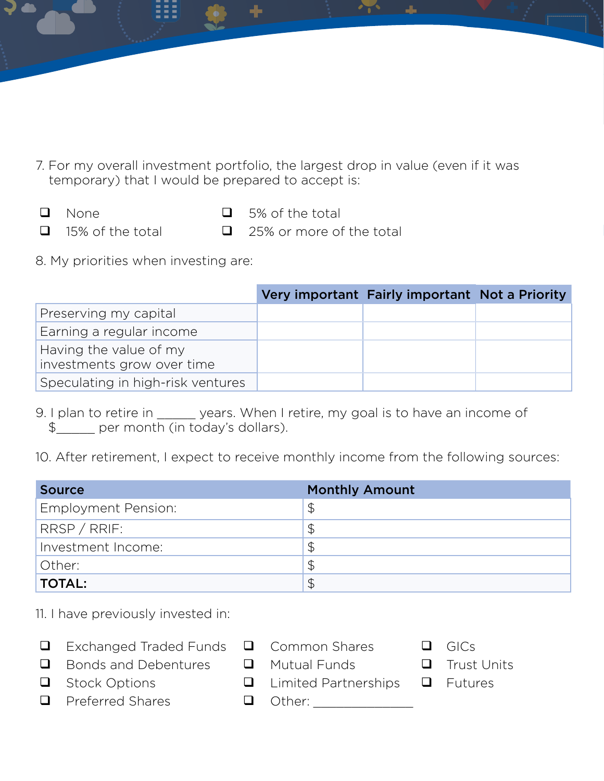- 7. For my overall investment portfolio, the largest drop in value (even if it was temporary) that I would be prepared to accept is:
- 
- $\Box$  None  $\Box$  5% of the total
- 
- $\Box$  15% of the total  $\Box$  25% or more of the total
- 8. My priorities when investing are:

|                                                      | Very important Fairly important Not a Priority |  |
|------------------------------------------------------|------------------------------------------------|--|
| Preserving my capital                                |                                                |  |
| Earning a regular income                             |                                                |  |
| Having the value of my<br>investments grow over time |                                                |  |
| Speculating in high-risk ventures                    |                                                |  |

9. I plan to retire in \_\_\_\_\_\_ years. When I retire, my goal is to have an income of \$\_\_\_\_\_ per month (in today's dollars).

10. After retirement, I expect to receive monthly income from the following sources:

| <b>Source</b>       | <b>Monthly Amount</b> |
|---------------------|-----------------------|
| Employment Pension: | $\mathfrak{P}$        |
| RRSP / RRIF:        | $\mathfrak{P}$        |
| Investment Income:  | $\mathfrak{P}$        |
| Other:              | $\frac{1}{2}$         |
| <b>TOTAL:</b>       | $\varphi$             |

11. I have previously invested in:

- $\Box$  Exchanged Traded Funds  $\Box$  Common Shares  $\Box$  GICs
- $\Box$  Bonds and Debentures  $\Box$  Mutual Funds  $\Box$  Trust Units
- $\Box$  Stock Options  $\Box$  Limited Partnerships  $\Box$  Futures
- **Q** Preferred Shares **Q** Other:
- -
- 
- 
- 
-